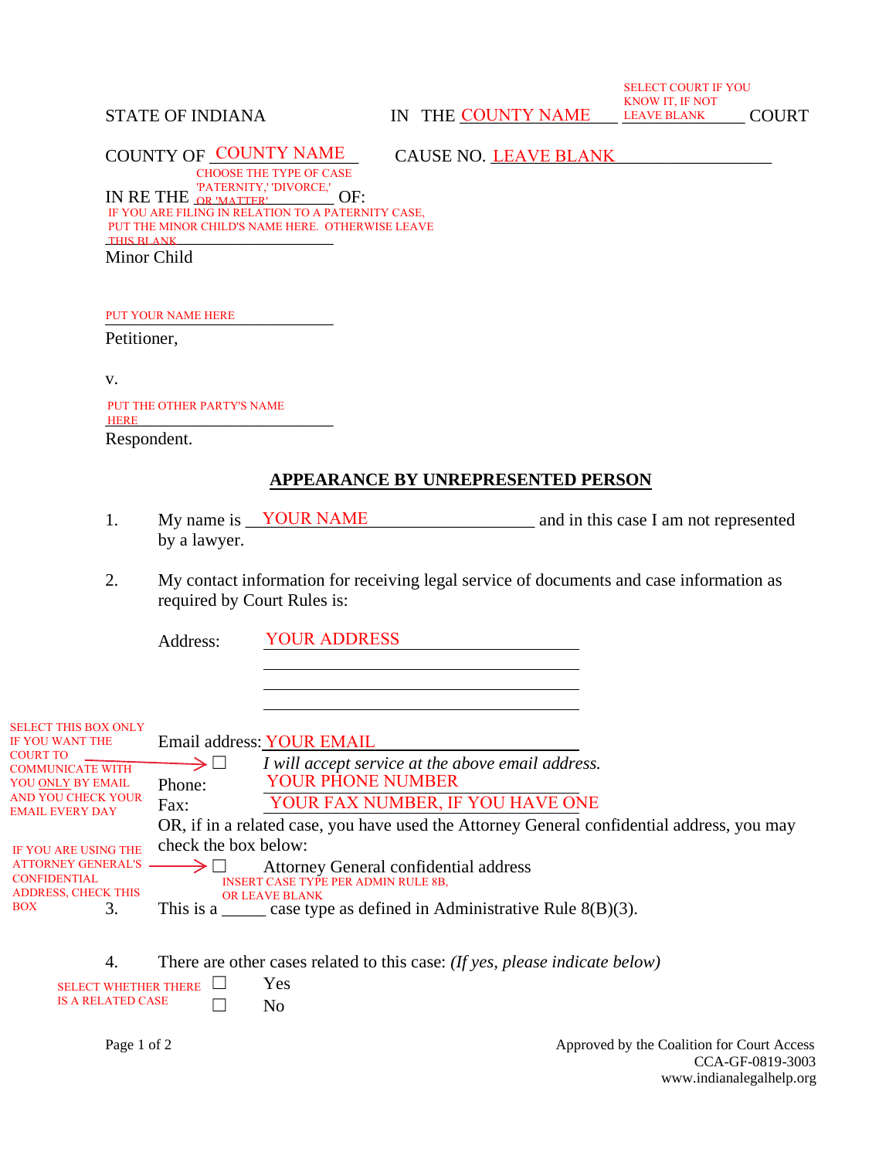STATE OF INDIANA **IN** THE COUNTY NAME LEAVE BLANK COURT

SELECT COURT IF YOU KNOW IT, IF NOT LEAVE BLANK COURT

COUNTY OF COUNTY NAME CAUSE NO. LEAVE BLANK

CAUSE NO. LEAVE BLANK

IN RE THE <u>DR WATTER' DIVORCE,'</u> OF: THIS BLANK CHOOSE THE TYPE OF CASE OR 'MATTER' IF YOU ARE FILING IN RELATION TO A PATERNITY CASE, PUT THE MINOR CHILD'S NAME HERE. OTHERWISE LEAVE

Minor Child

PUT YOUR NAME HERE

Petitioner,

v.

\_\_\_\_\_\_\_\_\_\_\_\_\_\_\_\_\_\_\_\_\_\_\_\_\_\_ HERE Respondent. PUT THE OTHER PARTY'S NAME

## **APPEARANCE BY UNREPRESENTED PERSON**

- 1. My name is <u>VOUR NAME</u> and in this case I am not represented by a lawyer. My name is **YOUR NAME**
- 2. My contact information for receiving legal service of documents and case information as required by Court Rules is:

Address: YOUR ADDRESS

| <b>SELECT THIS BOX ONLY</b><br><b>IF YOU WANT THE</b>                                                         |                               | Email address: YOUR EMAIL                                                                        |
|---------------------------------------------------------------------------------------------------------------|-------------------------------|--------------------------------------------------------------------------------------------------|
| <b>COURT TO</b><br><b>COMMUNICATE WITH</b><br>YOU ONLY BY EMAIL                                               | $\rightarrow \qcup$<br>Phone: | I will accept service at the above email address.<br><b>YOUR PHONE NUMBER</b>                    |
| <b>AND YOU CHECK YOUR</b><br><b>EMAIL EVERY DAY</b>                                                           | Fax:                          | YOUR FAX NUMBER, IF YOU HAVE ONE                                                                 |
| <b>IF YOU ARE USING THE</b><br><b>ATTORNEY GENERAL'S</b><br><b>CONFIDENTIAL</b><br><b>ADDRESS, CHECK THIS</b> | check the box below:          | OR, if in a related case, you have used the Attorney General confidential address, you may       |
|                                                                                                               |                               | Attorney General confidential address<br><b>INSERT CASE TYPE PER ADMIN RULE 8B,</b>              |
| <b>BOX</b><br>3.                                                                                              |                               | OR LEAVE BLANK<br>This is a $\_\_\_\_\_\_\$ case type as defined in Administrative Rule 8(B)(3). |

| There are other cases related to this case: (If yes, please indicate below) |
|-----------------------------------------------------------------------------|
|                                                                             |

| SELECT WHETHER THERE $\Box$ |        | Yes |
|-----------------------------|--------|-----|
| IS A RELATED CASE.          | $\Box$ | No  |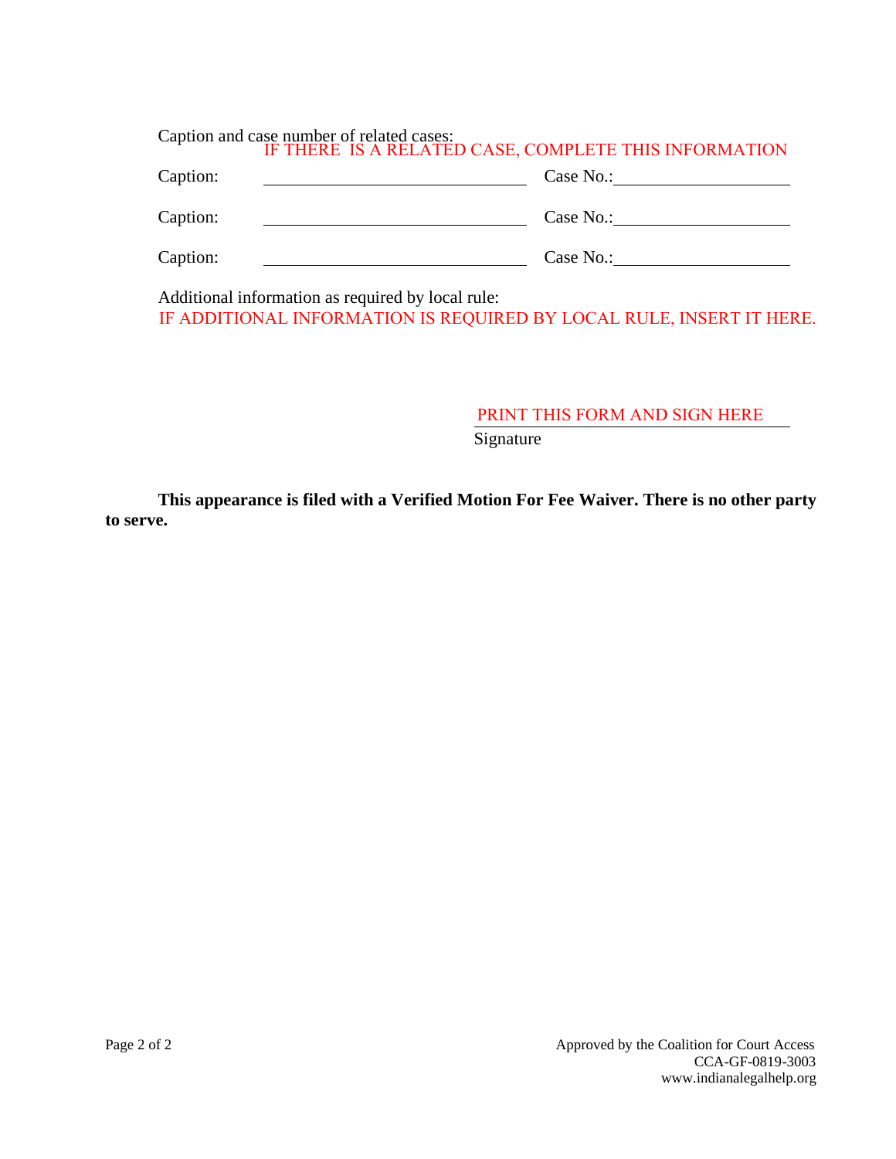| Caption and case number of related cases:<br>IF THERE IS A RELATED CASE, COMPLETE THIS INFORMATION |           |  |  |  |  |  |
|----------------------------------------------------------------------------------------------------|-----------|--|--|--|--|--|
| Caption:                                                                                           | Case No.: |  |  |  |  |  |
| Caption:                                                                                           | Case No.: |  |  |  |  |  |
| Caption:                                                                                           | Case No.: |  |  |  |  |  |

Additional information as required by local rule: IF ADDITIONAL INFORMATION IS REQUIRED BY LOCAL RULE, INSERT IT HERE.

> **Signature** PRINT THIS FORM AND SIGN HERE

**This appearance is filed with a Verified Motion For Fee Waiver. There is no other party to serve.**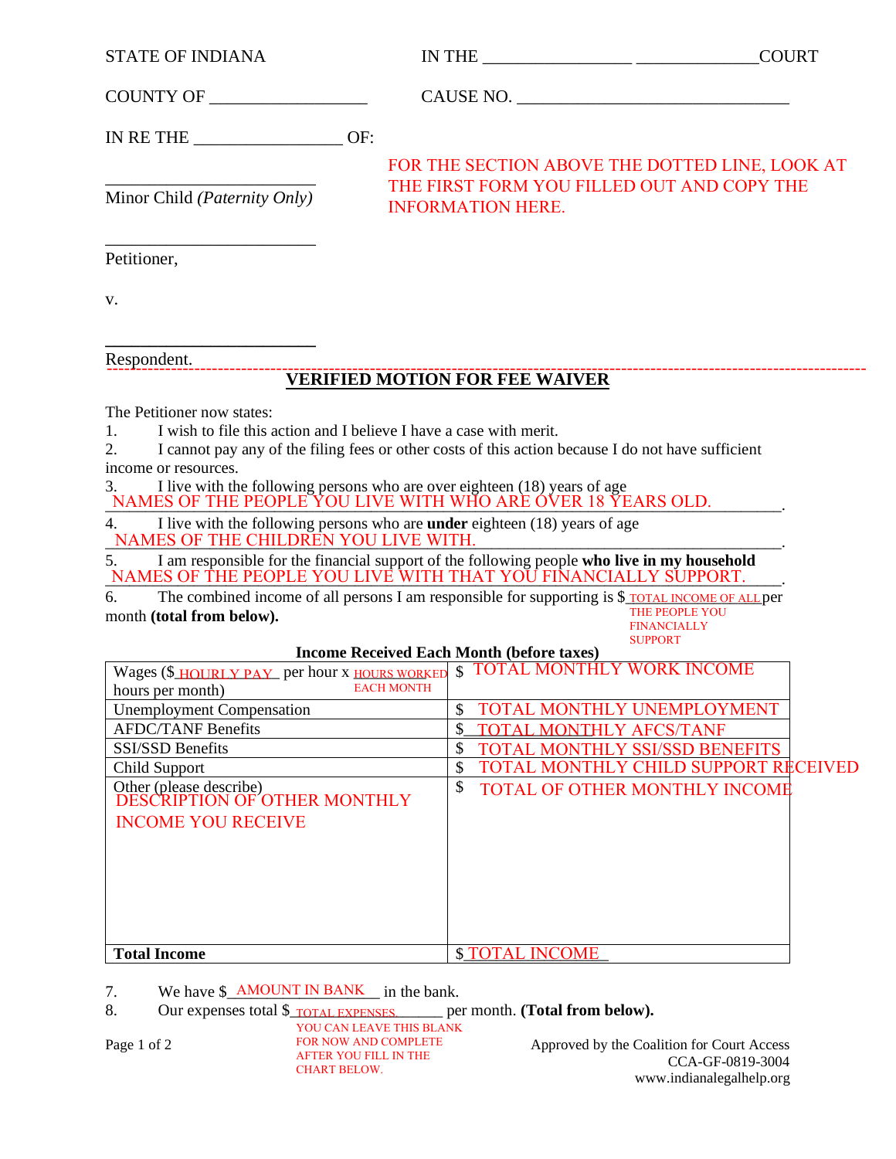| <b>STATE OF INDIANA</b> |
|-------------------------|
|-------------------------|

IN THE  $\_\_$ 

COUNTY OF \_\_\_\_\_\_\_\_\_\_\_\_\_\_\_\_\_\_ CAUSE NO. \_\_\_\_\_\_\_\_\_\_\_\_\_\_\_\_\_\_\_\_\_\_\_\_\_\_\_\_\_\_\_

IN RE THE **OF:** 

FOR THE SECTION ABOVE THE DOTTED LINE, LOOK AT THE FIRST FORM YOU FILLED OUT AND COPY THE INFORMATION HERE.

\_\_\_\_\_\_\_\_\_\_\_\_\_\_\_\_\_\_\_\_\_\_\_\_ Minor Child *(Paternity Only)*

\_\_\_\_\_\_\_\_\_\_\_\_\_\_\_\_\_\_\_\_\_\_\_\_ Petitioner,

v.

**\_\_\_\_\_\_\_\_\_\_\_\_\_\_\_\_\_\_\_\_\_\_\_\_** Respondent.

## **VERIFIED MOTION FOR FEE WAIVER**  ----------------------------------------------------------------------------------------------------------------------------------

The Petitioner now states:

1. I wish to file this action and I believe I have a case with merit.

2. I cannot pay any of the filing fees or other costs of this action because I do not have sufficient income or resources.

3. I live with the following persons who are over eighteen (18) years of age \_\_\_\_\_\_\_\_\_\_\_\_\_\_\_\_\_\_\_\_\_\_\_\_\_\_\_\_\_\_\_\_\_\_\_\_\_\_\_\_\_\_\_\_\_\_\_\_\_\_\_\_\_\_\_\_\_\_\_\_\_\_\_\_\_\_\_\_\_\_\_\_\_\_\_\_\_\_\_\_\_\_\_\_. NAMES OF THE PEOPLE YOU LIVE WITH WHO ARE OVER 18 YEARS OLD.

4. I live with the following persons who are **under** eighteen (18) years of age \_\_\_\_\_\_\_\_\_\_\_\_\_\_\_\_\_\_\_\_\_\_\_\_\_\_\_\_\_\_\_\_\_\_\_\_\_\_\_\_\_\_\_\_\_\_\_\_\_\_\_\_\_\_\_\_\_\_\_\_\_\_\_\_\_\_\_\_\_\_\_\_\_\_\_\_\_\_\_\_\_\_\_\_. NAMES OF THE CHILDREN YOU LIVE WITH.

5. I am responsible for the financial support of the following people **who live in my household** \_\_\_\_\_\_\_\_\_\_\_\_\_\_\_\_\_\_\_\_\_\_\_\_\_\_\_\_\_\_\_\_\_\_\_\_\_\_\_\_\_\_\_\_\_\_\_\_\_\_\_\_\_\_\_\_\_\_\_\_\_\_\_\_\_\_\_\_\_\_\_\_\_\_\_\_\_\_\_\_\_\_\_\_. NAMES OF THE PEOPLE YOU LIVE WITH THAT YOU FINANCIALLY SUPPORT.

6. The combined income of all persons I am responsible for supporting is \$\_TOTAL INCOME OF ALL per month **(total from below).** THE PEOPLE YOU

**FINANCIALLY** SUPPORT

## **Income Received Each Month (before taxes)**

| Wages (\$ <b>HOURLY PAY</b> per hour x <b>HOURS</b> WORKED | <b>\$ TOTAL MONTHLY WORK INCOME</b>         |  |
|------------------------------------------------------------|---------------------------------------------|--|
| <b>EACH MONTH</b><br>hours per month)                      |                                             |  |
| <b>Unemployment Compensation</b>                           | TOTAL MONTHLY UNEMPLOYMENT                  |  |
| <b>AFDC/TANF Benefits</b>                                  | <b>TOTAL MONTHLY AFCS/TANF</b>              |  |
| <b>SSI/SSD Benefits</b>                                    | \$<br><b>TOTAL MONTHLY SSI/SSD BENEFITS</b> |  |
| Child Support                                              | TOTAL MONTHLY CHILD SUPPORT RECEIVED        |  |
| Other (please describe)<br>DESCRIPTION OF OTHER MONTHLY    | \$<br><b>TOTAL OF OTHER MONTHLY INCOME</b>  |  |
| <b>INCOME YOU RECEIVE</b>                                  |                                             |  |
|                                                            |                                             |  |
|                                                            |                                             |  |
|                                                            |                                             |  |
|                                                            |                                             |  |
|                                                            |                                             |  |
|                                                            |                                             |  |
| <b>Total Income</b>                                        | <b>\$ TOTAL INCOME</b>                      |  |

7. We have  $\frac{\text{AMONT IN BANK}}{\text{NBNK}}$  in the bank.

8. Our expenses total \$**\_\_\_\_\_\_\_\_\_\_\_\_\_\_\_\_\_\_\_\_\_\_\_\_\_\_\_\_** per month. (**Total from below**).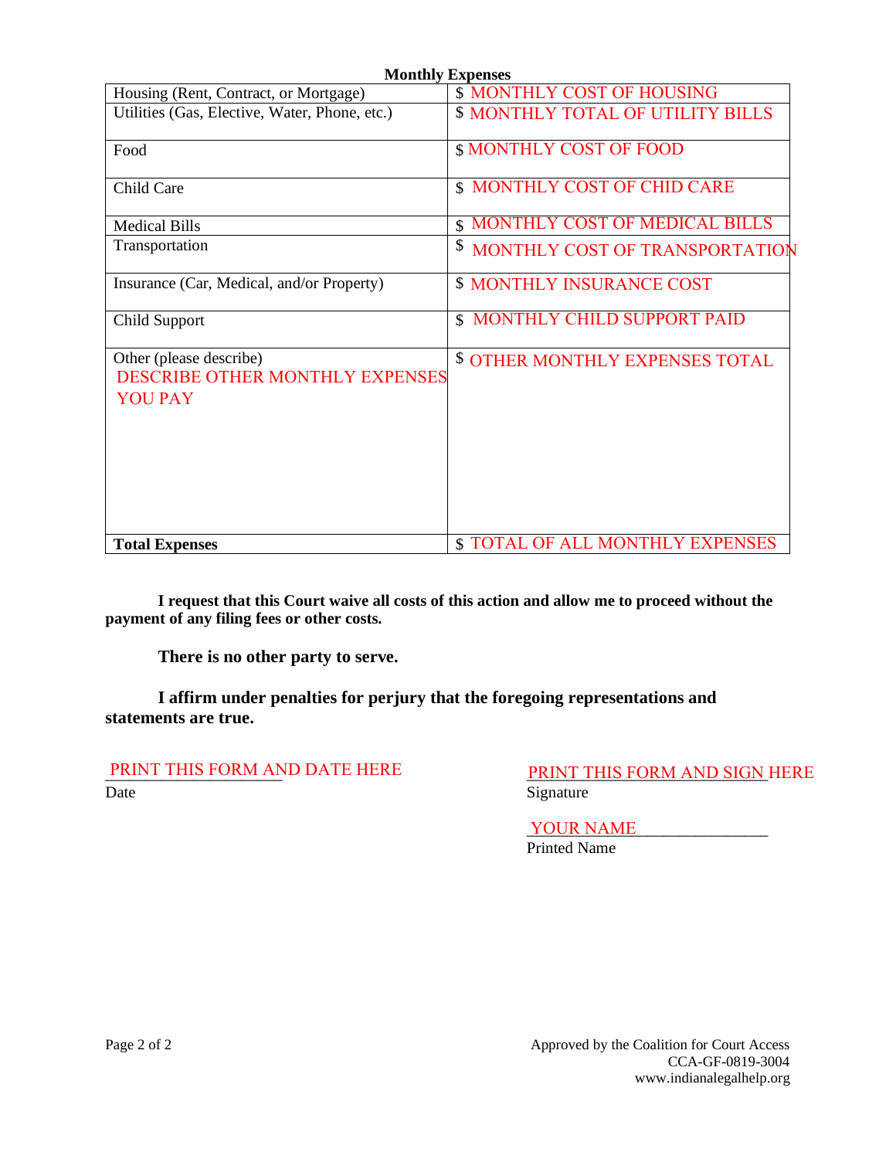| <b>Monthly Expenses</b>                                                             |                                          |  |  |  |  |  |  |
|-------------------------------------------------------------------------------------|------------------------------------------|--|--|--|--|--|--|
| Housing (Rent, Contract, or Mortgage)                                               | <b>\$ MONTHLY COST OF HOUSING</b>        |  |  |  |  |  |  |
| Utilities (Gas, Elective, Water, Phone, etc.)                                       | <b>\$ MONTHLY TOTAL OF UTILITY BILLS</b> |  |  |  |  |  |  |
| Food                                                                                | <b>\$ MONTHLY COST OF FOOD</b>           |  |  |  |  |  |  |
| Child Care                                                                          | \$ MONTHLY COST OF CHID CARE             |  |  |  |  |  |  |
| <b>Medical Bills</b>                                                                | <b>S MONTHLY COST OF MEDICAL BILLS</b>   |  |  |  |  |  |  |
| Transportation                                                                      | \$<br>MONTHLY COST OF TRANSPORTATION     |  |  |  |  |  |  |
| Insurance (Car, Medical, and/or Property)                                           | <b>\$ MONTHLY INSURANCE COST</b>         |  |  |  |  |  |  |
| Child Support                                                                       | <b>\$ MONTHLY CHILD SUPPORT PAID</b>     |  |  |  |  |  |  |
| Other (please describe)<br><b>DESCRIBE OTHER MONTHLY EXPENSES</b><br><b>YOU PAY</b> | <b>\$ OTHER MONTHLY EXPENSES TOTAL</b>   |  |  |  |  |  |  |
| <b>Total Expenses</b>                                                               | <b>\$ TOTAL OF ALL MONTHLY EXPENSES</b>  |  |  |  |  |  |  |

**I request that this Court waive all costs of this action and allow me to proceed without the payment of any filing fees or other costs.** 

**There is no other party to serve.** 

**I affirm under penalties for perjury that the foregoing representations and statements are true.** 

PRINT THIS FORM AND DATE HERE<br>Date

Signature PRINT THIS FORM AND SIGN HERE

\_\_\_\_\_\_\_\_\_\_\_\_\_\_\_\_\_\_\_\_\_\_\_\_\_\_\_\_\_\_ YOUR NAMEPrinted Name